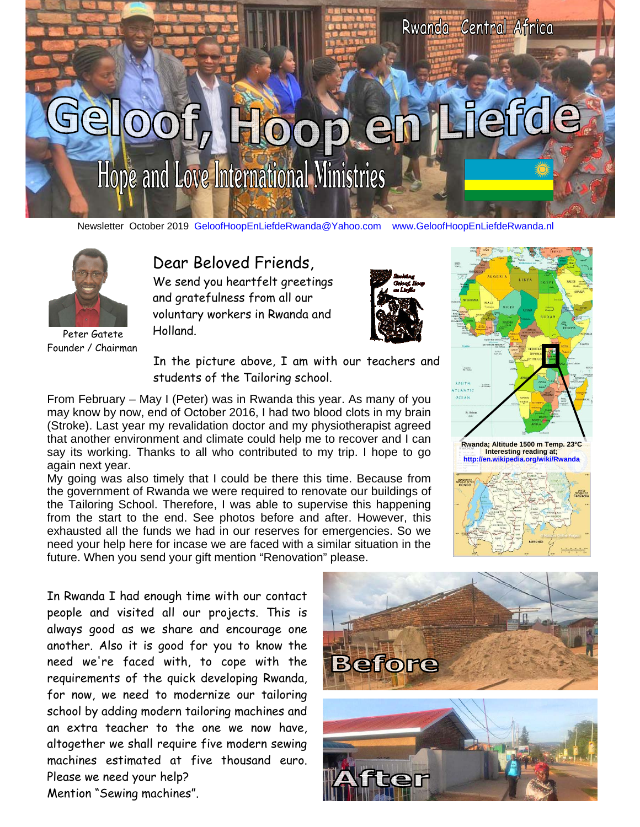## Rwanda Central Africa Lief HOOD 001  $\mathbf{e}$ Hope and Love International Ministries

Newsletter October 2019 GeloofHoopEnLiefdeRwanda@Yahoo.com www.GeloofHoopEnLiefdeRwanda.nl



Peter Gatete Founder / Chairman

## Dear Beloved Friends,

We send you heartfelt greetings and gratefulness from all our voluntary workers in Rwanda and Holland.



In the picture above, I am with our teachers and students of the Tailoring school.

From February – May I (Peter) was in Rwanda this year. As many of you may know by now, end of October 2016, I had two blood clots in my brain (Stroke). Last year my revalidation doctor and my physiotherapist agreed that another environment and climate could help me to recover and I can say its working. Thanks to all who contributed to my trip. I hope to go again next year.

 My going was also timely that I could be there this time. Because from the government of Rwanda we were required to renovate our buildings of the Tailoring School. Therefore, I was able to supervise this happening from the start to the end. See photos before and after. However, this exhausted all the funds we had in our reserves for emergencies. So we need your help here for incase we are faced with a similar situation in the future. When you send your gift mention "Renovation" please.

In Rwanda I had enough time with our contact people and visited all our projects. This is always good as we share and encourage one another. Also it is good for you to know the need we're faced with, to cope with the requirements of the quick developing Rwanda, for now, we need to modernize our tailoring school by adding modern tailoring machines and an extra teacher to the one we now have, altogether we shall require five modern sewing machines estimated at five thousand euro. Please we need your help?

Mention "Sewing machines".